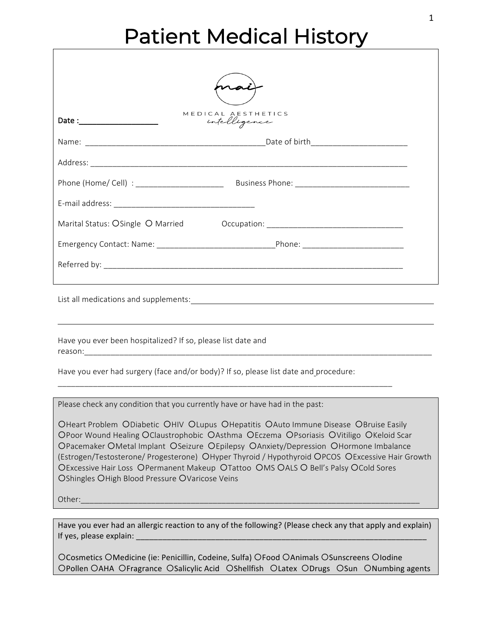### Patient Medical History

|                                                                                      | MEDICAL AESTHETICS<br>intelligence                                               |
|--------------------------------------------------------------------------------------|----------------------------------------------------------------------------------|
|                                                                                      |                                                                                  |
|                                                                                      |                                                                                  |
|                                                                                      |                                                                                  |
|                                                                                      |                                                                                  |
|                                                                                      | Marital Status: OSingle O Married Cocupation: __________________________________ |
|                                                                                      |                                                                                  |
|                                                                                      |                                                                                  |
|                                                                                      |                                                                                  |
| Have you ever been hospitalized? If so, please list date and                         |                                                                                  |
| Have you ever had surgery (face and/or body)? If so, please list date and procedure: |                                                                                  |

Please check any condition that you currently have or have had in the past:

OHeart Problem ODiabetic OHIV OLupus OHepatitis OAuto Immune Disease OBruise Easily OPoor Wound Healing OClaustrophobic OAsthma OEczema OPsoriasis OVitiligo OKeloid Scar OPacemaker OMetal Implant OSeizure OEpilepsy OAnxiety/Depression OHormone Imbalance (Estrogen/Testosterone/ Progesterone) OHyper Thyroid / Hypothyroid OPCOS OExcessive Hair Growth OExcessive Hair Loss OPermanent Makeup OTattoo OMS OALS O Bell's Palsy OCold Sores OShingles OHigh Blood Pressure OVaricose Veins

\_\_\_\_\_\_\_\_\_\_\_\_\_\_\_\_\_\_\_\_\_\_\_\_\_\_\_\_\_\_\_\_\_\_\_\_\_\_\_\_\_\_\_\_\_\_\_\_\_\_\_\_\_\_\_\_\_\_\_\_\_\_\_\_\_\_\_\_\_\_\_\_\_\_\_\_

Other:\_\_\_\_\_\_\_\_\_\_\_\_\_\_\_\_\_\_\_\_\_\_\_\_\_\_\_\_\_\_\_\_\_\_\_\_\_\_\_\_\_\_\_\_\_\_\_\_\_\_\_\_\_\_\_\_\_\_\_\_\_\_\_\_\_\_\_\_\_\_\_\_\_\_\_\_\_

Have you ever had an allergic reaction to any of the following? (Please check any that apply and explain) If yes, please explain:  $\_$ 

OCosmetics OMedicine (ie: Penicillin, Codeine, Sulfa) OFood OAnimals OSunscreens OIodine OPollen OAHA OFragrance OSalicylic Acid OShellfish OLatex ODrugs OSun ONumbing agents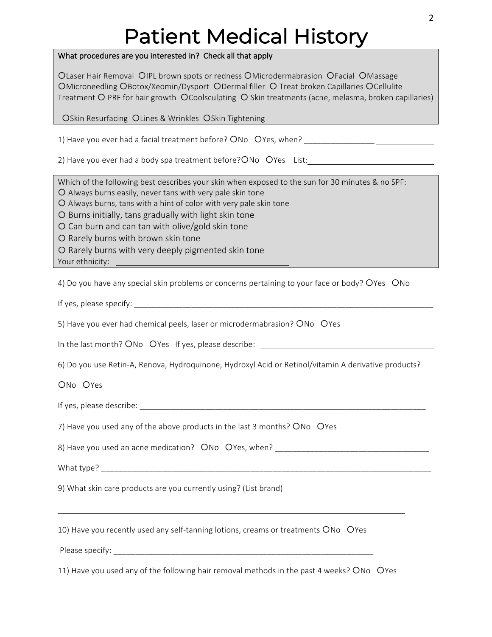# Patient Medical History

#### What procedures are you interested in? Check all that apply

OLaser Hair Removal OIPL brown spots or redness OMicrodermabrasion OFacial OMassage OMicroneedling OBotox/Xeomin/Dysport ODermal filler O Treat broken Capillaries OCellulite Treatment O PRF for hair growth OCoolsculpting O Skin treatments (acne, melasma, broken capillaries)

OSkin Resurfacing OLines & Wrinkles OSkin Tightening

1) Have you ever had a facial treatment before? ONo OYes, when?

2) Have you ever had a body spa treatment before? $\overline{O}$ No  $\overline{O}$ Yes List:

Which of the following best describes your skin when exposed to the sun for 30 minutes & no SPF:

 $O$  Always burns easily, never tans with very pale skin tone

 $O$  Always burns, tans with a hint of color with very pale skin tone

 $O$  Burns initially, tans gradually with light skin tone

O Can burn and can tan with olive/gold skin tone

O Rarely burns with brown skin tone

 $\Omega$  Rarely burns with very deeply pigmented skin tone

Your ethnicity:

4) Do you have any special skin problems or concerns pertaining to your face or body? OYes ONo

If yes, please specify:  $\Box$ 

5) Have you ever had chemical peels, laser or microdermabrasion? ONo OYes

In the last month? ONo OYes If yes, please describe: \_\_\_\_\_\_\_\_\_\_\_\_\_\_\_\_\_\_\_\_\_\_\_\_\_\_\_

6) Do you use Retin-A, Renova, Hydroquinone, Hydroxyl Acid or Retinol/vitamin A derivative products?

ONo OYes

If yes, please describe:  $\Box$ 

7) Have you used any of the above products in the last 3 months? ONo OYes

8) Have you used an acne medication? ONo OYes, when?

What type?

9) What skin care products are you currently using? (List brand)

10) Have you recently used any self-tanning lotions, creams or treatments ONo OYes

Please specify:

11) Have you used any of the following hair removal methods in the past 4 weeks? ONo OYes